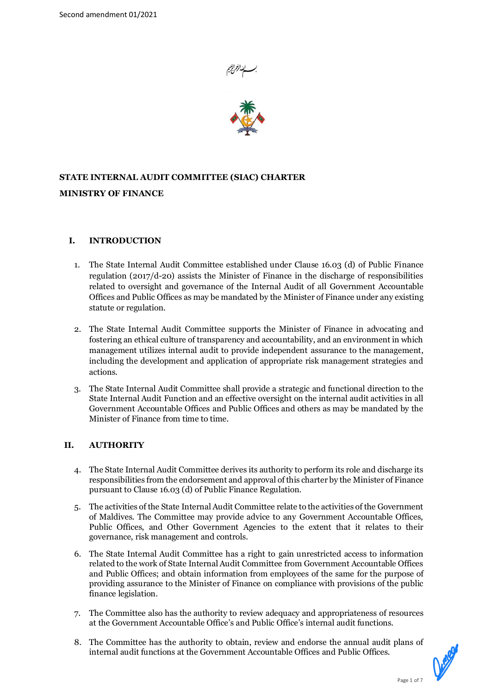



# **STATE INTERNAL AUDIT COMMITTEE (SIAC) CHARTER MINISTRY OF FINANCE**

# **I. INTRODUCTION**

- 1. The State Internal Audit Committee established under Clause 16.03 (d) of Public Finance regulation (2017/d-20) assists the Minister of Finance in the discharge of responsibilities related to oversight and governance of the Internal Audit of all Government Accountable Offices and Public Offices as may be mandated by the Minister of Finance under any existing statute or regulation.
- 2. The State Internal Audit Committee supports the Minister of Finance in advocating and fostering an ethical culture of transparency and accountability, and an environment in which management utilizes internal audit to provide independent assurance to the management, including the development and application of appropriate risk management strategies and actions.
- 3. The State Internal Audit Committee shall provide a strategic and functional direction to the State Internal Audit Function and an effective oversight on the internal audit activities in all Government Accountable Offices and Public Offices and others as may be mandated by the Minister of Finance from time to time.

# **II. AUTHORITY**

- 4. The State Internal Audit Committee derives its authority to perform its role and discharge its responsibilities from the endorsement and approval of this charter by the Minister of Finance pursuant to Clause 16.03 (d) of Public Finance Regulation.
- 5. The activities of the State Internal Audit Committee relate to the activities of the Government of Maldives. The Committee may provide advice to any Government Accountable Offices, Public Offices, and Other Government Agencies to the extent that it relates to their governance, risk management and controls.
- 6. The State Internal Audit Committee has a right to gain unrestricted access to information related to the work of State Internal Audit Committee from Government Accountable Offices and Public Offices; and obtain information from employees of the same for the purpose of providing assurance to the Minister of Finance on compliance with provisions of the public finance legislation.
- 7. The Committee also has the authority to review adequacy and appropriateness of resources at the Government Accountable Office's and Public Office's internal audit functions.
- 8. The Committee has the authority to obtain, review and endorse the annual audit plans of internal audit functions at the Government Accountable Offices and Public Offices.

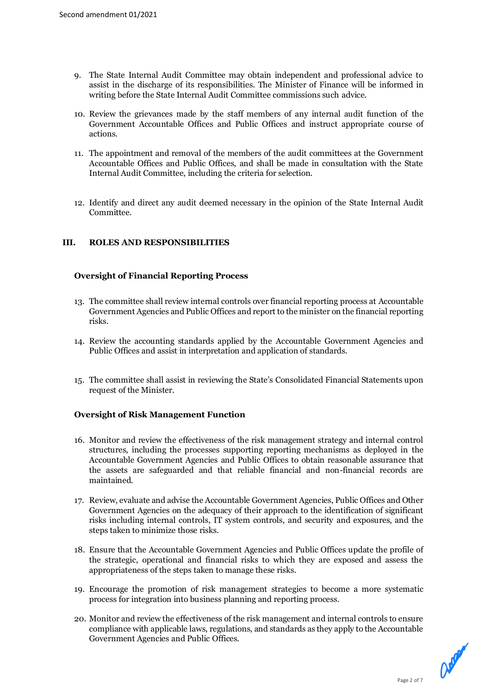- 9. The State Internal Audit Committee may obtain independent and professional advice to assist in the discharge of its responsibilities. The Minister of Finance will be informed in writing before the State Internal Audit Committee commissions such advice.
- 10. Review the grievances made by the staff members of any internal audit function of the Government Accountable Offices and Public Offices and instruct appropriate course of actions.
- 11. The appointment and removal of the members of the audit committees at the Government Accountable Offices and Public Offices, and shall be made in consultation with the State Internal Audit Committee, including the criteria for selection.
- 12. Identify and direct any audit deemed necessary in the opinion of the State Internal Audit Committee.

# **III. ROLES AND RESPONSIBILITIES**

# **Oversight of Financial Reporting Process**

- 13. The committee shall review internal controls over financial reporting process at Accountable Government Agencies and Public Offices and report to the minister on the financial reporting risks.
- 14. Review the accounting standards applied by the Accountable Government Agencies and Public Offices and assist in interpretation and application of standards.
- 15. The committee shall assist in reviewing the State's Consolidated Financial Statements upon request of the Minister.

# **Oversight of Risk Management Function**

- 16. Monitor and review the effectiveness of the risk management strategy and internal control structures, including the processes supporting reporting mechanisms as deployed in the Accountable Government Agencies and Public Offices to obtain reasonable assurance that the assets are safeguarded and that reliable financial and non-financial records are maintained.
- 17. Review, evaluate and advise the Accountable Government Agencies, Public Offices and Other Government Agencies on the adequacy of their approach to the identification of significant risks including internal controls, IT system controls, and security and exposures, and the steps taken to minimize those risks.
- 18. Ensure that the Accountable Government Agencies and Public Offices update the profile of the strategic, operational and financial risks to which they are exposed and assess the appropriateness of the steps taken to manage these risks.
- 19. Encourage the promotion of risk management strategies to become a more systematic process for integration into business planning and reporting process.
- 20. Monitor and review the effectiveness of the risk management and internal controls to ensure compliance with applicable laws, regulations, and standards as they apply to the Accountable Government Agencies and Public Offices.

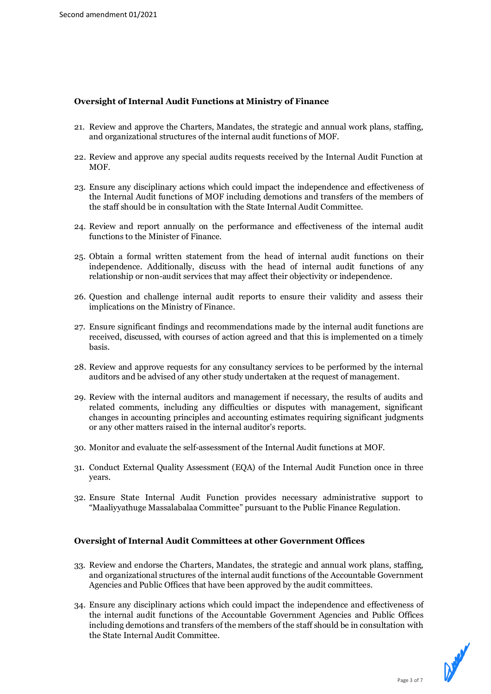# **Oversight of Internal Audit Functions at Ministry of Finance**

- 21. Review and approve the Charters, Mandates, the strategic and annual work plans, staffing, and organizational structures of the internal audit functions of MOF.
- 22. Review and approve any special audits requests received by the Internal Audit Function at MOF.
- 23. Ensure any disciplinary actions which could impact the independence and effectiveness of the Internal Audit functions of MOF including demotions and transfers of the members of the staff should be in consultation with the State Internal Audit Committee.
- 24. Review and report annually on the performance and effectiveness of the internal audit functions to the Minister of Finance.
- 25. Obtain a formal written statement from the head of internal audit functions on their independence. Additionally, discuss with the head of internal audit functions of any relationship or non-audit services that may affect their objectivity or independence.
- 26. Question and challenge internal audit reports to ensure their validity and assess their implications on the Ministry of Finance.
- 27. Ensure significant findings and recommendations made by the internal audit functions are received, discussed, with courses of action agreed and that this is implemented on a timely basis.
- 28. Review and approve requests for any consultancy services to be performed by the internal auditors and be advised of any other study undertaken at the request of management.
- 29. Review with the internal auditors and management if necessary, the results of audits and related comments, including any difficulties or disputes with management, significant changes in accounting principles and accounting estimates requiring significant judgments or any other matters raised in the internal auditor's reports.
- 30. Monitor and evaluate the self-assessment of the Internal Audit functions at MOF.
- 31. Conduct External Quality Assessment (EQA) of the Internal Audit Function once in three years.
- 32. Ensure State Internal Audit Function provides necessary administrative support to "Maaliyyathuge Massalabalaa Committee" pursuant to the Public Finance Regulation.

# **Oversight of Internal Audit Committees at other Government Offices**

- 33. Review and endorse the Charters, Mandates, the strategic and annual work plans, staffing, and organizational structures of the internal audit functions of the Accountable Government Agencies and Public Offices that have been approved by the audit committees.
- 34. Ensure any disciplinary actions which could impact the independence and effectiveness of the internal audit functions of the Accountable Government Agencies and Public Offices including demotions and transfers of the members of the staff should be in consultation with the State Internal Audit Committee.

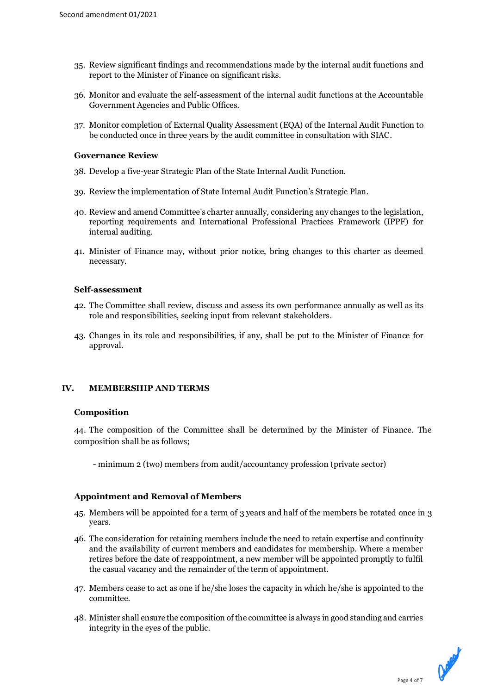- 35. Review significant findings and recommendations made by the internal audit functions and report to the Minister of Finance on significant risks.
- 36. Monitor and evaluate the self-assessment of the internal audit functions at the Accountable Government Agencies and Public Offices.
- 37. Monitor completion of External Quality Assessment (EQA) of the Internal Audit Function to be conducted once in three years by the audit committee in consultation with SIAC.

# **Governance Review**

- 38. Develop a five-year Strategic Plan of the State Internal Audit Function.
- 39. Review the implementation of State Internal Audit Function's Strategic Plan.
- 40. Review and amend Committee's charter annually, considering any changes to the legislation, reporting requirements and International Professional Practices Framework (IPPF) for internal auditing.
- 41. Minister of Finance may, without prior notice, bring changes to this charter as deemed necessary.

#### **Self-assessment**

- 42. The Committee shall review, discuss and assess its own performance annually as well as its role and responsibilities, seeking input from relevant stakeholders.
- 43. Changes in its role and responsibilities, if any, shall be put to the Minister of Finance for approval.

# **IV. MEMBERSHIP AND TERMS**

# **Composition**

44. The composition of the Committee shall be determined by the Minister of Finance. The composition shall be as follows;

- minimum 2 (two) members from audit/accountancy profession (private sector)

# **Appointment and Removal of Members**

- 45. Members will be appointed for a term of 3 years and half of the members be rotated once in 3 years.
- 46. The consideration for retaining members include the need to retain expertise and continuity and the availability of current members and candidates for membership. Where a member retires before the date of reappointment, a new member will be appointed promptly to fulfil the casual vacancy and the remainder of the term of appointment.
- 47. Members cease to act as one if he/she loses the capacity in which he/she is appointed to the committee.
- 48. Minister shall ensure the composition of the committee is always in good standing and carries integrity in the eyes of the public.

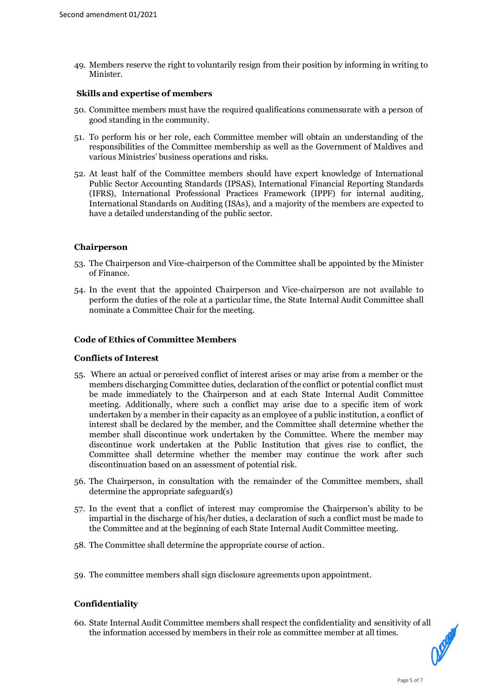49. Members reserve the right to voluntarily resign from their position by informing in writing to Minister.

# **Skills and expertise of members**

- 50. Committee members must have the required qualifications commensurate with a person of good standing in the community.
- 51. To perform his or her role, each Committee member will obtain an understanding of the responsibilities of the Committee membership as well as the Government of Maldives and various Ministries' business operations and risks.
- 52. At least half of the Committee members should have expert knowledge of International Public Sector Accounting Standards (IPSAS), International Financial Reporting Standards (IFRS), International Professional Practices Framework (IPPF) for internal auditing, International Standards on Auditing (ISAs), and a majority of the members are expected to have a detailed understanding of the public sector.

#### **Chairperson**

- 53. The Chairperson and Vice-chairperson of the Committee shall be appointed by the Minister of Finance.
- 54. In the event that the appointed Chairperson and Vice-chairperson are not available to perform the duties of the role at a particular time, the State Internal Audit Committee shall nominate a Committee Chair for the meeting.

#### **Code of Ethics of Committee Members**

#### **Conflicts of Interest**

- 55. Where an actual or perceived conflict of interest arises or may arise from a member or the members discharging Committee duties, declaration of the conflict or potential conflict must be made immediately to the Chairperson and at each State Internal Audit Committee meeting. Additionally, where such a conflict may arise due to a specific item of work undertaken by a member in their capacity as an employee of a public institution, a conflict of interest shall be declared by the member, and the Committee shall determine whether the member shall discontinue work undertaken by the Committee. Where the member may discontinue work undertaken at the Public Institution that gives rise to conflict, the Committee shall determine whether the member may continue the work after such discontinuation based on an assessment of potential risk.
- 56. The Chairperson, in consultation with the remainder of the Committee members, shall determine the appropriate safeguard(s)
- 57. In the event that a conflict of interest may compromise the Chairperson's ability to be impartial in the discharge of his/her duties, a declaration of such a conflict must be made to the Committee and at the beginning of each State Internal Audit Committee meeting.
- 58. The Committee shall determine the appropriate course of action.
- 59. The committee members shall sign disclosure agreements upon appointment.

# **Confidentiality**

60. State Internal Audit Committee members shall respect the confidentiality and sensitivity of all the information accessed by members in their role as committee member at all times.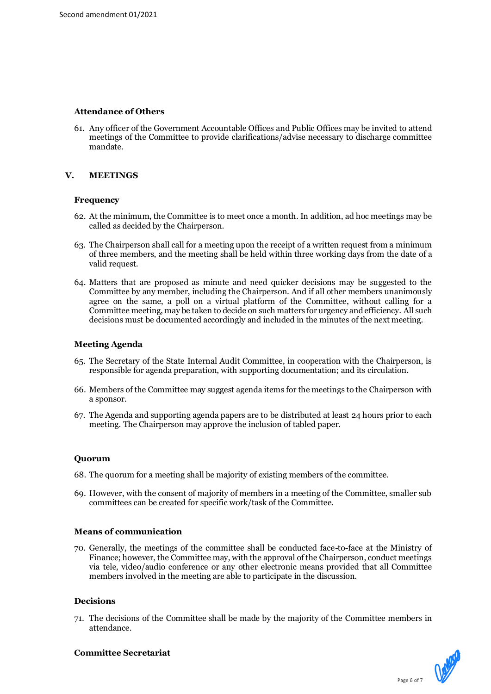# **Attendance of Others**

61. Any officer of the Government Accountable Offices and Public Offices may be invited to attend meetings of the Committee to provide clarifications/advise necessary to discharge committee mandate.

# **V. MEETINGS**

# **Frequency**

- 62. At the minimum, the Committee is to meet once a month. In addition, ad hoc meetings may be called as decided by the Chairperson.
- 63. The Chairperson shall call for a meeting upon the receipt of a written request from a minimum of three members, and the meeting shall be held within three working days from the date of a valid request.
- 64. Matters that are proposed as minute and need quicker decisions may be suggested to the Committee by any member, including the Chairperson. And if all other members unanimously agree on the same, a poll on a virtual platform of the Committee, without calling for a Committee meeting, may be taken to decide on such matters for urgency and efficiency. All such decisions must be documented accordingly and included in the minutes of the next meeting.

# **Meeting Agenda**

- 65. The Secretary of the State Internal Audit Committee, in cooperation with the Chairperson, is responsible for agenda preparation, with supporting documentation; and its circulation.
- 66. Members of the Committee may suggest agenda items for the meetings to the Chairperson with a sponsor.
- 67. The Agenda and supporting agenda papers are to be distributed at least 24 hours prior to each meeting. The Chairperson may approve the inclusion of tabled paper.

# **Quorum**

- 68. The quorum for a meeting shall be majority of existing members of the committee.
- 69. However, with the consent of majority of members in a meeting of the Committee, smaller sub committees can be created for specific work/task of the Committee.

# **Means of communication**

70. Generally, the meetings of the committee shall be conducted face-to-face at the Ministry of Finance; however, the Committee may, with the approval of the Chairperson, conduct meetings via tele, video/audio conference or any other electronic means provided that all Committee members involved in the meeting are able to participate in the discussion.

# **Decisions**

71. The decisions of the Committee shall be made by the majority of the Committee members in attendance.



# **Committee Secretariat**